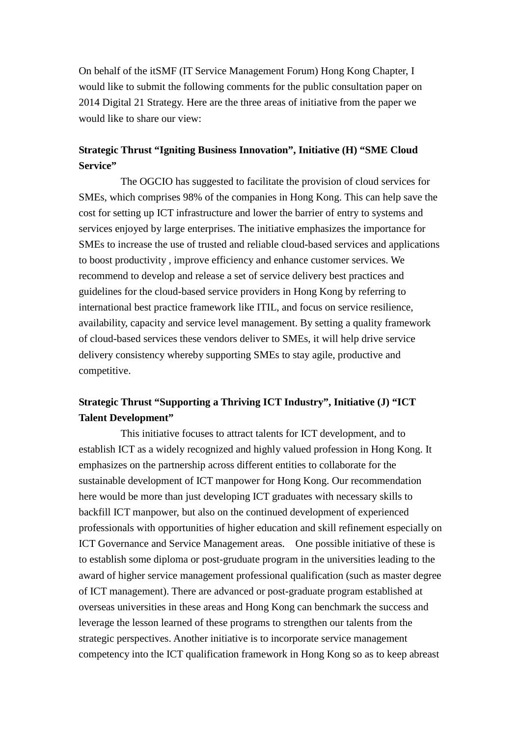On behalf of the itSMF (IT Service Management Forum) Hong Kong Chapter, I would like to submit the following comments for the public consultation paper on 2014 Digital 21 Strategy. Here are the three areas of initiative from the paper we would like to share our view:

## **Strategic Thrust "Igniting Business Innovation", Initiative (H) "SME Cloud Service"**

 The OGCIO has suggested to facilitate the provision of cloud services for SMEs, which comprises 98% of the companies in Hong Kong. This can help save the cost for setting up ICT infrastructure and lower the barrier of entry to systems and services enjoyed by large enterprises. The initiative emphasizes the importance for SMEs to increase the use of trusted and reliable cloud-based services and applications to boost productivity , improve efficiency and enhance customer services. We recommend to develop and release a set of service delivery best practices and guidelines for the cloud-based service providers in Hong Kong by referring to international best practice framework like ITIL, and focus on service resilience, availability, capacity and service level management. By setting a quality framework of cloud-based services these vendors deliver to SMEs, it will help drive service delivery consistency whereby supporting SMEs to stay agile, productive and competitive.

## **Strategic Thrust "Supporting a Thriving ICT Industry", Initiative (J) "ICT Talent Development"**

 This initiative focuses to attract talents for ICT development, and to establish ICT as a widely recognized and highly valued profession in Hong Kong. It emphasizes on the partnership across different entities to collaborate for the sustainable development of ICT manpower for Hong Kong. Our recommendation here would be more than just developing ICT graduates with necessary skills to backfill ICT manpower, but also on the continued development of experienced professionals with opportunities of higher education and skill refinement especially on ICT Governance and Service Management areas. One possible initiative of these is to establish some diploma or post-gruduate program in the universities leading to the award of higher service management professional qualification (such as master degree of ICT management). There are advanced or post-graduate program established at overseas universities in these areas and Hong Kong can benchmark the success and leverage the lesson learned of these programs to strengthen our talents from the strategic perspectives. Another initiative is to incorporate service management competency into the ICT qualification framework in Hong Kong so as to keep abreast